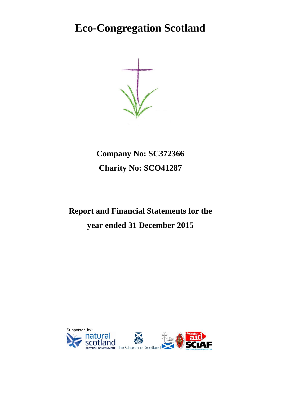**Eco-Congregation Scotland**

**Company No: SC372366 Charity No: SCO41287**

# **Report and Financial Statements for the year ended 31 December 2015**

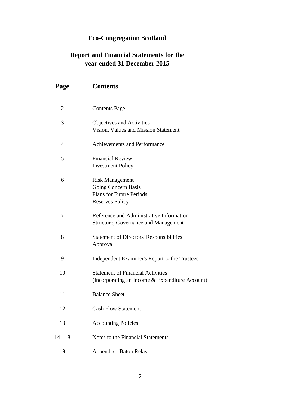## **Eco-Congregation Scotland**

### **Report and Financial Statements for the year ended 31 December 2015**

| Page           | <b>Contents</b>                                                                                            |
|----------------|------------------------------------------------------------------------------------------------------------|
| $\overline{2}$ | <b>Contents Page</b>                                                                                       |
| 3              | Objectives and Activities<br>Vision, Values and Mission Statement                                          |
| 4              | <b>Achievements and Performance</b>                                                                        |
| 5              | <b>Financial Review</b><br><b>Investment Policy</b>                                                        |
| 6              | <b>Risk Management</b><br>Going Concern Basis<br><b>Plans for Future Periods</b><br><b>Reserves Policy</b> |
| 7              | Reference and Administrative Information<br><b>Structure, Governance and Management</b>                    |
| 8              | <b>Statement of Directors' Responsibilities</b><br>Approval                                                |
| 9              | Independent Examiner's Report to the Trustees                                                              |
| 10             | <b>Statement of Financial Activities</b><br>(Incorporating an Income & Expenditure Account)                |
| 11             | <b>Balance Sheet</b>                                                                                       |
| 12             | <b>Cash Flow Statement</b>                                                                                 |
| 13             | <b>Accounting Policies</b>                                                                                 |
| $14 - 18$      | Notes to the Financial Statements                                                                          |
| 19             | Appendix - Baton Relay                                                                                     |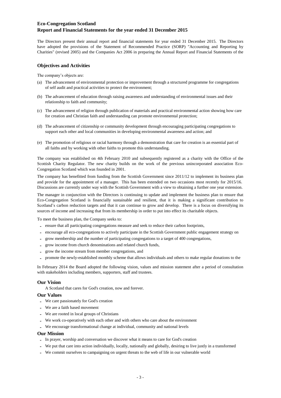The Directors present their annual report and financial statements for year ended 31 December 2015. The Directors have adopted the provisions of the Statement of Recommended Practice (SORP) "Accounting and Reporting by Charities" (revised 2005) and the Companies Act 2006 in preparing the Annual Report and Financial Statements of the

#### **Objectives and Activities**

The company's objects are:

- (a) The advancement of environmental protection or improvement through a structured programme for congregations of self audit and practical activities to protect the environment;
- (b) The advancement of education through raising awareness and understanding of environmental issues and their relationship to faith and community;
- (c) The advancement of religion through publication of materials and practical environmental action showing how care for creation and Christian faith and understanding can promote environmental protection;
- (d) The advancement of citizenship or community development through encouraging participating congregations to support each other and local communities in developing environmental awareness and action; and
- (e) The promotion of religious or racial harmony through a demonstration that care for creation is an essential part of all faiths and by working with other faiths to promote this understanding.

The company was established on 4th February 2010 and subsequently registered as a charity with the Office of the Scottish Charity Regulator. The new charity builds on the work of the previous unincorporated association Eco-Congregation Scotland which was founded in 2001.

The company has benefitted from funding from the Scottish Government since 2011/12 to implement its business plan and provide for the appointment of a manager. This has been extended on two occasions most recently for 2015/16. Discussions are currently under way with the Scottish Government with a view to obtaining a further one year extension.

The manager in conjunction with the Directors is continuing to update and implement the business plan to ensure that Eco-Congregation Scotland is financially sustainable and resilient, that it is making a significant contribution to Scotland's carbon reduction targets and that it can continue to grow and develop. There is a focus on diversifying its sources of income and increasing that from its membership in order to put into effect its charitable objects.

To meet the business plan, the Company seeks to:

- **-** ensure that all participating congregations measure and seek to reduce their carbon footprints,
- **-** encourage all eco-congregations to actively participate in the Scottish Government public engagement strategy on
- grow membership and the number of participating congregations to a target of 400 congregations,
- **-** grow income from church denominations and related church funds,
- **-** grow the income stream from member congregations, and
- promote the newly-established monthly scheme that allows individuals and others to make regular donations to the

In February 2014 the Board adopted the following vision, values and mission statement after a period of consultation with stakeholders including members, supporters, staff and trustees.

#### **Our Vision**

A Scotland that cares for God's creation, now and forever.

#### **Our Values**

- **-** We care passionately for God's creation
- **-** We are a faith based movement
- **-** We are rooted in local groups of Christians
- **-** We work co-operatively with each other and with others who care about the environment
- **-** We encourage transformational change at individual, community and national levels

#### **Our Mission**

- **-** In prayer, worship and conversation we discover what it means to care for God's creation
- **-** We put that care into action individually, locally, nationally and globally, desiring to live justly in a transformed
- We commit ourselves to campaigning on urgent threats to the web of life in our vulnerable world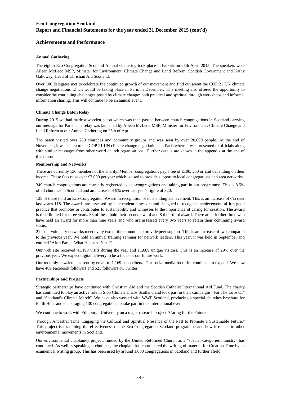#### **Achievements and Performance**

#### **Annual Gathering**

The eighth Eco-Congregation Scotland Annual Gathering took place in Falkirk on 25th April 2015. The speakers were Aileen McLeod MSP, Minister for Environment, Climate Change and Land Reform, Scottish Government and Kathy Galloway, Head of Christian Aid Scotland.

Over 100 delegates met to celebrate the continued growth of our movement and find out about the COP 21 UN climate change negotiations which would be taking place in Paris in December. The meeting also offered the opportunity to consider the continuing challenges posed by climate change: both practical and spiritual through workshops and informal information sharing. This will continue to be an annual event.

#### **Climate Change Baton Relay**

During 2015 we had made a wooden baton which was then passed between church congregations in Scotland carrying our message for Paris. The relay was launched by Aileen McLeod MSP, Minister for Environment, Climate Change and Land Reform at our Annual Gathering on 25th of April.

The baton visited over 280 churches and community groups and was seen by over 20,000 people. At the end of November, it was taken to the COP 21 UN climate change negotiations in Paris where it was presented to officials along with similar messages from other world church organisations. Further details are shown in the appendix at the end of this report.

#### **Membership and Networks**

There are currently 130 members of the charity. Member congregations pay a fee of £100, £50 or £nil depending on their income. These fees raise over £7,000 per year which is used to provide support to local congregations and area networks.

349 church congregations are currently registered as eco-congregations and taking part in our programme. This is 8.5% of all churches in Scotland and an increase of 9% over last year's figure of 320.

125 of these hold an Eco-Congregation Award in recognition of outstanding achievement. This is an increase of 6% over last year's 118. The awards are assessed by independent assessors and designed to recognise achievement, affirm good practice that promotes or contributes to sustainability and witnesses to the importance of caring for creation. The award is time limited for three years. 38 of these hold their second award and 8 their third award. There are a further three who have held an award for more than nine years and who are assessed every two years to retain their continuing award status.

21 local voluntary networks meet every two or three months to provide peer support. This is an increase of two compared to the previous year. We hold an annual training seminar for network leaders. This year, it was held in September and entitled "After Paris - What Happens Next?".

Our web site received 41,193 visits during the year and 11,689 unique visitors. This is an increase of 29% over the previous year. We expect digital delivery to be a focus of our future work.

Our monthly newsletter is sent by email to 1,169 subscribers. Our social media footprint continues to expand. We now have 489 Facebook followers and 621 followers on Twitter.

#### **Partnerships and Projects**

Strategic partnerships have continued with Christian Aid and the Scottish Catholic International Aid Fund. The charity has continued to play an active role in Stop Climate Chaos Scotland and took part in their campaigns "For The Love Of" and "Scotland's Climate March". We have also worked with WWF Scotland, producing a special churches brochure for Earth Hour and encouraging 130 congregations to take part in this international event.

We continue to work with Edinburgh University on a major research project "Caring for the Future

Through Ancestral Time: Engaging the Cultural and Spiritual Presence of the Past to Promote a Sustainable Future." This project is examining the effectiveness of the Eco-Congregation Scotland programme and how it relates to other environmental movements in Scotland.

Our environmental chaplaincy project, funded by the United Reformed Church as a "special categories ministry" has continued. As well as speaking at churches, the chaplain has coordinated the writing of material for Creation Time by an ecumenical writing group. This has been used by around 1,000 congregations in Scotland and further afield.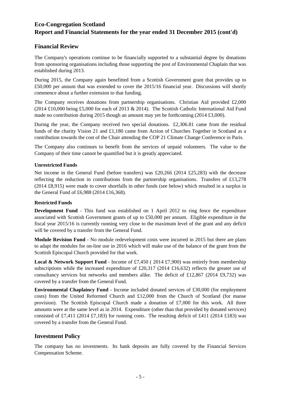### **Financial Review**

The Company's operations continue to be financially supported to a substantial degree by donations from sponsoring organisations including those supporting the post of Environmental Chaplain that was established during 2013.

During 2015, the Company again benefitted from a Scottish Government grant that provides up to £50,000 per annum that was extended to cover the 2015/16 financial year. Discussions will shortly commence about a further extension to that funding.

The Company receives donations from partnership organisations. Christian Aid provided £2,000 (2014  $\text{\pounds}10,000$  being  $\text{\pounds}5,000$  for each of 2013 & 2014). The Scottish Catholic International Aid Fund made no contribution during 2015 though an amount may yet be forthcoming (2014 £3,000).

During the year, the Company received two special donations. £2,306.81 came from the residual funds of the charity Vision 21 and £1,180 came from Action of Churches Together in Scotland as a contribution towards the cost of the Chair attending the COP 21 Climate Change Conference in Paris.

The Company also continues to benefit from the services of unpaid volunteers. The value to the Company of their time cannot be quantified but it is greatly appreciated.

#### **Unrestricted Funds**

Net income in the General Fund (before transfers) was £20,266 (2014 £25,283) with the decrease reflecting the reduction in contributions from the partnership organisations. Transfers of £13,278 (2014 £8,915) were made to cover shortfalls in other funds (see below) which resulted in a surplus in the General Fund of £6,988 (2014 £16,368).

#### **Restricted Funds**

**Development Fund** - This fund was established on 1 April 2012 to ring fence the expenditure associated with Scottish Government grants of up to £50,000 per annum. Eligible expenditure in the fiscal year 2015/16 is currently running very close to the maximum level of the grant and any deficit will be covered by a transfer from the General Fund.

**Module Revision Fund** - No module redevelopment costs were incurred in 2015 but there are plans to adapt the modules for on-line use in 2016 which will make use of the balance of the grant from the Scottish Episcopal Church provided for that work.

**Local & Network Support Fund** - Income of £7,450 ( 2014 £7,900) was entirely from membership subscriptions while the increased expenditure of £20,317 (2014 £16,632) reflects the greater use of consultancy services but networks and members alike. The deficit of £12,867 (2014 £9,732) was covered by a transfer from the General Fund.

**Environmental Chaplaincy Fund** - Income included donated services of £30,000 (for employment costs) from the United Reformed Church and  $£12,000$  from the Church of Scotland (for manse provision). The Scottish Episcopal Church made a donation of £7,000 for this work. All three amounts were at the same level as in 2014. Expenditure (other than that provided by donated services) consisted of £7,411 (2014 £7,183) for running costs. The resulting deficit of £411 (2014 £183) was covered by a transfer from the General Fund.

### **Investment Policy**

The company has no investments. Its bank deposits are fully covered by the Financial Services Compensation Scheme.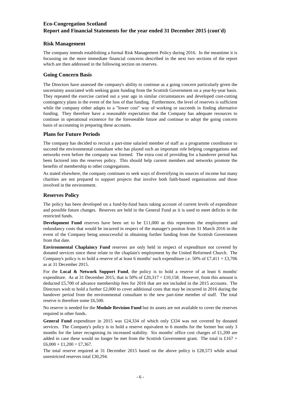#### **Risk Management**

The company intends establishing a formal Risk Management Policy during 2016. In the meantime it is focussing on the more immediate financial concerns described in the next two sections of the report which are then addressed in the following section on reserves.

#### **Going Concern Basis**

The Directors have assessed the company's ability to continue as a going concern particularly given the uncertainty associated with seeking grant funding from the Scottish Government on a year-by-year basis. They repeated the exercise carried out a year ago in similar circumstances and developed cost-cutting contingency plans in the event of the loss of that funding. Furthermore, the level of reserves is sufficient while the company either adapts to a "lower cost" way of working or succeeds in finding alternative funding. They therefore have a reasonable expectation that the Company has adequate resources to continue in operational existence for the foreseeable future and continue to adopt the going concern basis of accounting in preparing these accounts.

#### **Plans for Future Periods**

The company has decided to recruit a part-time salaried member of staff as a programme coordinator to succeed the environmental consultant who has played such an important role helping congregations and networks even before the company was formed. The extra cost of providing for a handover period has been factored into the reserves policy. This should help current members and networks promote the benefits of membership to other congregations.

As stated elsewhere, the company continues to seek ways of diversifying its sources of income but many charities are not prepared to support projects that involve both faith-based organisations and those involved in the environment.

#### **Reserves Policy**

The policy has been developed on a fund-by-fund basis taking account of current levels of expenditure and possible future changes. Reserves are held in the General Fund as it is used to meet deficits in the restricted funds.

**Development** Fund reserves have been set to be £11,000 as this represents the employment and redundancy costs that would be incurred in respect of the manager's positon from 31 March 2016 in the event of the Company being unsuccessful in obtaining further funding from the Scottish Government from that date.

**Environmental Chaplaincy Fund** reserves are only held in respect of expenditure not covered by donated services since these relate to the chaplain's employment by the United Reformed Church. The Company's policy is to hold a reserve of at least 6 months' such expenditure i.e. 50% of £7,411 = £3,706 as at 31 December 2015.

For the **Local & Network Support Fund**, the policy is to hold a reserve of at least 6 months' expenditure. As at 31 December 2015, that is 50% of £20,317 = £10,158. However, from this amount is deducted £5,700 of advance membership fees for 2016 that are not included in the 2015 accounts. The Directors wish to hold a further £2,000 to cover additional costs that may be incurred in 2016 during the handover period from the environmental consultant to the new part-time member of staff. The total reserve is therefore some £6,500.

No reserve is needed for the **Module Revision Fund** but its assets are not available to cover the reserves required in other funds.

**General Fund** expenditure in 2015 was £24,334 of which only £334 was not covered by donated services. The Company's policy is to hold a reserve equivalent to 6 months for the former but only 3 months for the latter recognising its increased stability. Six months' office cost charges of £1,200 are added in case these would no longer be met from the Scottish Government grant. The total is £167 +  $£6,000 + £1,200 = £7,367.$ 

The total reserve required at 31 December 2015 based on the above policy is £28,573 while actual unrestricted reserves total £30,294.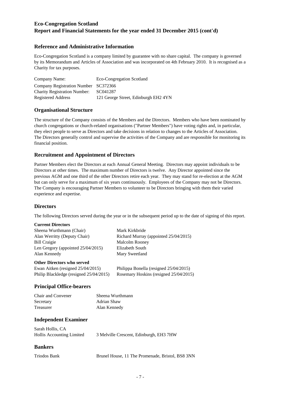#### **Reference and Administrative Information**

Eco-Congregation Scotland is a company limited by guarantee with no share capital. The company is governed by its Memorandum and Articles of Association and was incorporated on 4th February 2010. It is recognised as a Charity for tax purposes.

| Company Name:                        | Eco-Congregation Scotland            |
|--------------------------------------|--------------------------------------|
| Company Registration Number SC372366 |                                      |
| <b>Charity Registration Number:</b>  | SC041287                             |
| Registered Address                   | 121 George Street, Edinburgh EH2 4YN |

#### **Organisational Structure**

The structure of the Company consists of the Members and the Directors. Members who have been nominated by church congregations or church-related organisations ("Partner Members") have voting rights and, in particular, they elect people to serve as Directors and take decisions in relation to changes to the Articles of Association. The Directors generally control and supervise the activities of the Company and are responsible for monitoring its financial position.

#### **Recruitment and Appointment of Directors**

Partner Members elect the Directors at each Annual General Meeting. Directors may appoint individuals to be Directors at other times. The maximum number of Directors is twelve. Any Director appointed since the previous AGM and one third of the other Directors retire each year. They may stand for re-election at the AGM but can only serve for a maximum of six years continuously. Employees of the Company may not be Directors. The Company is encouraging Partner Members to volunteer to be Directors bringing with them their varied experience and expertise.

#### **Directors**

The following Directors served during the year or in the subsequent period up to the date of signing of this report.

#### **Current Directors**

| Sheena Wurthmann (Chair)              | Mark Kirkbride                        |
|---------------------------------------|---------------------------------------|
| Alan Werritty (Deputy Chair)          | Richard Murray (appointed 25/04/2015) |
| <b>Bill Craigie</b>                   | <b>Malcolm Rooney</b>                 |
| Len Gregory (appointed $25/04/2015$ ) | Elizabeth South                       |
| Alan Kennedy                          | Mary Sweetland                        |
| <b>Other Directors who served</b>     |                                       |
|                                       |                                       |

| Ewan Aitken (resigned $25/04/2015$ )    | Philippa Bonella (resigned 25/04/2015) |
|-----------------------------------------|----------------------------------------|
| Philip Blackledge (resigned 25/04/2015) | Rosemary Hoskins (resigned 25/04/2015) |

#### **Principal Office-bearers**

| Chair and Convener | Sheena Wurthmann |
|--------------------|------------------|
| Secretary          | Adrian Shaw      |
| Treasurer          | Alan Kennedy     |

#### **Independent Examiner**

| Sarah Hollis, CA          |                                         |
|---------------------------|-----------------------------------------|
| Hollis Accounting Limited | 3 Melville Crescent, Edinburgh, EH3 7HW |

#### **Bankers**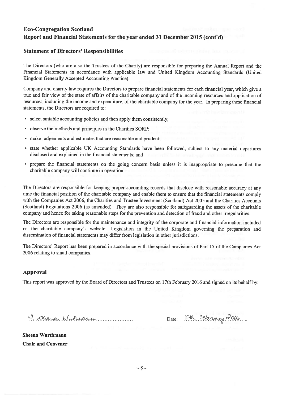#### **Statement of Directors' Responsibilities**

The Directors (who are also the Trustees of the Charity) are responsible for preparing the Annual Report and the Financial Statements in accordance with applicable law and United Kingdom Accounting Standards (United Kingdom Generally Accepted Accounting Practice).

Company and charity law requires the Directors to prepare financial statements for each financial year, which give a true and fair view of the state of affairs of the charitable company and of the incoming resources and application of resources, including the income and expenditure, of the charitable company for the year. In preparing these financial statements, the Directors are required to:

- select suitable accounting policies and then apply them consistently;
- observe the methods and principles in the Charities SORP;  $\bullet$
- make judgements and estimates that are reasonable and prudent:
- state whether applicable UK Accounting Standards have been followed, subject to any material departures disclosed and explained in the financial statements; and
- prepare the financial statements on the going concern basis unless it is inappropriate to presume that the charitable company will continue in operation.

The Directors are responsible for keeping proper accounting records that disclose with reasonable accuracy at any time the financial position of the charitable company and enable them to ensure that the financial statements comply with the Companies Act 2006, the Charities and Trustee Investment (Scotland) Act 2005 and the Charities Accounts (Scotland) Regulations 2006 (as amended). They are also responsible for safeguarding the assets of the charitable company and hence for taking reasonable steps for the prevention and detection of fraud and other irregularities.

The Directors are responsible for the maintenance and integrity of the corporate and financial information included on the charitable company's website. Legislation in the United Kingdom governing the preparation and dissemination of financial statements may differ from legislation in other jurisdictions.

The Directors' Report has been prepared in accordance with the special provisions of Part 15 of the Companies Act 2006 relating to small companies.

#### **Approval**

This report was approved by the Board of Directors and Trustees on 17th February 2016 and signed on its behalf by:

I shera Windiana

Date: Ith February 2016

**Sheena Wurthmann Chair and Convener**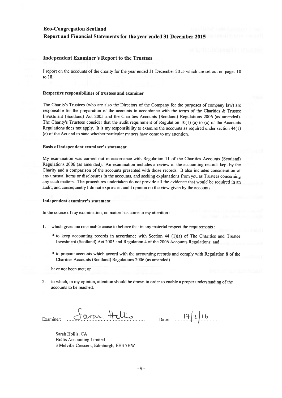#### **Independent Examiner's Report to the Trustees**

I report on the accounts of the charity for the year ended 31 December 2015 which are set out on pages 10 to 18.

#### Respective responsibilities of trustees and examiner

The Charity's Trustees (who are also the Directors of the Company for the purposes of company law) are responsible for the preparation of the accounts in accordance with the terms of the Charities & Trustee Investment (Scotland) Act 2005 and the Charities Accounts (Scotland) Regulations 2006 (as amended). The Charity's Trustees consider that the audit requirement of Regulation 10(1) (a) to (c) of the Accounts Regulations does not apply. It is my responsibility to examine the accounts as required under section 44(1) (c) of the Act and to state whether particular matters have come to my attention.

#### Basis of independent examiner's statement

My examination was carried out in accordance with Regulation 11 of the Charities Accounts (Scotland) Regulations 2006 (as amended). An examination includes a review of the accounting records kept by the Charity and a comparison of the accounts presented with those records. It also includes consideration of any unusual items or disclosures in the accounts, and seeking explanations from you as Trustees concerning any such matters. The procedures undertaken do not provide all the evidence that would be required in an audit, and consequently I do not express an audit opinion on the view given by the accounts.

#### Independent examiner's statement

In the course of my examination, no matter has come to my attention :

- $1.$ which gives me reasonable cause to believe that in any material respect the requirements :
	- to keep accounting records in accordance with Section 44 (1)(a) of The Charities and Trustee Investment (Scotland) Act 2005 and Regulation 4 of the 2006 Accounts Regulations; and
	- to prepare accounts which accord with the accounting records and comply with Regulation 8 of the Charities Accounts (Scotland) Regulations 2006 (as amended)

have not been met; or

2. to which, in my opinion, attention should be drawn in order to enable a proper understanding of the accounts to be reached.

arar Hellis Examiner

 $17216$ Date:

Sarah Hollis, CA Hollis Accounting Limited 3 Melville Crescent, Edinburgh, EH3 7HW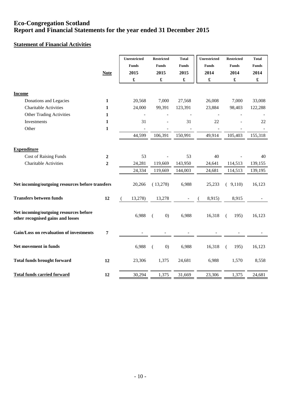### **Statement of Financial Activities**

|                                                  |                  | <b>Unrestricted</b>  | <b>Restricted</b>    | <b>Total</b>         | Unrestricted         | <b>Restricted</b>    | <b>Total</b>         |
|--------------------------------------------------|------------------|----------------------|----------------------|----------------------|----------------------|----------------------|----------------------|
|                                                  |                  | <b>Funds</b>         | <b>Funds</b>         | <b>Funds</b>         | <b>Funds</b>         | <b>Funds</b>         | <b>Funds</b>         |
|                                                  | <b>Note</b>      | 2015                 | 2015                 | 2015                 | 2014                 | 2014                 | 2014                 |
|                                                  |                  | $\pmb{\mathfrak{L}}$ | $\pmb{\mathfrak{L}}$ | $\pmb{\mathfrak{L}}$ | $\pmb{\mathfrak{L}}$ | $\pmb{\mathfrak{L}}$ | $\pmb{\mathfrak{L}}$ |
|                                                  |                  |                      |                      |                      |                      |                      |                      |
| <b>Income</b>                                    |                  |                      |                      |                      |                      |                      |                      |
| Donations and Legacies                           | 1                | 20,568               | 7,000                | 27,568               | 26,008               | 7,000                | 33,008               |
| <b>Charitable Activities</b>                     | $\mathbf{1}$     | 24,000               | 99,391               | 123,391              | 23,884               | 98,403               | 122,288              |
| <b>Other Trading Activities</b>                  | $\mathbf{1}$     |                      |                      |                      |                      |                      |                      |
| Investments                                      | 1                | 31                   |                      | 31                   | 22                   |                      | 22                   |
| Other                                            | $\mathbf{1}$     |                      |                      |                      |                      |                      |                      |
|                                                  |                  | 44,599               | 106,391              | 150,991              | 49,914               | 105,403              | 155,318              |
|                                                  |                  |                      |                      |                      |                      |                      |                      |
| <b>Expenditure</b>                               |                  |                      |                      |                      |                      |                      |                      |
| <b>Cost of Raising Funds</b>                     | $\overline{2}$   | 53                   |                      | 53                   | 40                   |                      | 40                   |
| <b>Charitable Activities</b>                     | $\boldsymbol{2}$ | 24,281               | 119,669              | 143,950              | 24,641               | 114,513              | 139,155              |
|                                                  |                  | 24,334               | 119,669              | 144,003              | 24,681               | 114,513              | 139,195              |
| Net incoming/outgoing resources before transfers |                  | 20,266               | (13,278)             | 6,988                | 25,233               | (9,110)              | 16,123               |
|                                                  |                  |                      |                      |                      |                      |                      |                      |
| <b>Transfers between funds</b>                   | 12               | 13,278)              | 13,278               |                      | 8,915)               | 8,915                |                      |
| Net incoming/outgoing resources before           |                  | 6,988                | (0)                  | 6,988                | 16,318               | 195)<br>(            | 16,123               |
| other recognised gains and losses                |                  |                      | (                    |                      |                      |                      |                      |
| Gain/Loss on revaluation of investments          | $\overline{7}$   |                      |                      |                      |                      |                      |                      |
| Net movement in funds                            |                  | 6,988                | (0)<br>$\left($      | 6,988                | 16,318               | 195)<br>(            | 16,123               |
| <b>Total funds brought forward</b>               | 12               | 23,306               | 1,375                | 24,681               | 6,988                | 1,570                | 8,558                |
| <b>Total funds carried forward</b>               | 12               | 30,294               | 1,375                | 31,669               | 23,306               | 1,375                | 24,681               |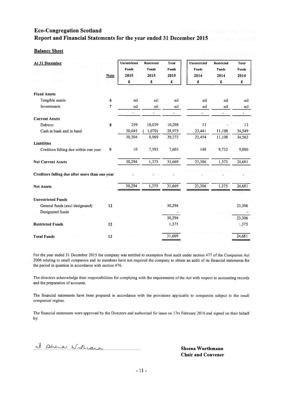#### **Balance Sheet**

| At 31 December<br>28. a                             |             | <b>Unrestricted</b><br><b>Funds</b> | <b>Restricted</b><br><b>Funds</b> | <b>Total</b><br><b>Funds</b> | <b>Unrestricted</b><br><b>Funds</b> | <b>Restricted</b><br><b>Funds</b> | <b>Total</b><br><b>Funds</b> |
|-----------------------------------------------------|-------------|-------------------------------------|-----------------------------------|------------------------------|-------------------------------------|-----------------------------------|------------------------------|
| <b>ME</b>                                           | <b>Note</b> | 2015<br>£                           | 2015<br>£                         | 2015<br>£                    | 2014<br>£                           | 2014<br>£                         | 2014<br>£                    |
|                                                     |             |                                     |                                   |                              |                                     |                                   |                              |
| <b>Fixed Assets</b>                                 |             |                                     |                                   |                              |                                     |                                   |                              |
| Tangible assets                                     | 6           | nil                                 | nil                               | nil                          | nil                                 | nil                               | nil                          |
| Investments                                         | 7           | nil                                 | nil                               | nil                          | nil                                 | nil                               | nil                          |
|                                                     |             | $\overline{\phantom{a}}$            | $\overline{\phantom{a}}$          | $\overline{\phantom{a}}$     | ÷.                                  | $\overline{\phantom{a}}$          | $\overline{\phantom{0}}$     |
| <b>Current Assets</b>                               |             |                                     |                                   |                              |                                     |                                   |                              |
| <b>Debtors</b>                                      | 8           | 259                                 | 10,039                            | 10,298                       | 13                                  |                                   | 13                           |
| Cash at bank and in hand                            |             | 30,045                              | 1,070)                            | 28,975                       | 23,441                              | 11,108                            | 34,549                       |
|                                                     |             | 30,304                              | 8,969                             | 39,272                       | 23,454                              | 11,108                            | 34,562                       |
| <b>Liabilities</b>                                  |             |                                     |                                   |                              |                                     |                                   |                              |
| Creditors falling due within one year               | 9           | 10                                  | 7,593                             | 7,603                        | 148                                 | 9,732                             | 9,880                        |
| <b>Net Current Assets</b>                           |             | 30,294                              | 1,375                             | 31,669                       | 23,306                              | 1,375                             | 24,681                       |
| Creditors falling due after more than one year      |             |                                     |                                   |                              |                                     |                                   |                              |
| <b>Net Assets</b>                                   |             | 30,294                              | 1,375                             | 31,669                       | 23,306                              | 1,375                             | 24,681                       |
| <b>Unrestricted Funds</b>                           |             |                                     |                                   |                              |                                     |                                   |                              |
| General funds (excl designated)<br>Designated funds | 12          |                                     |                                   | 30,294                       |                                     |                                   | 23,306                       |
|                                                     |             |                                     |                                   | 30,294                       |                                     |                                   | 23,306                       |
| <b>Restricted Funds</b>                             | 12          |                                     |                                   | 1,375                        |                                     |                                   | 1,375                        |
| <b>Total Funds</b>                                  | 12          |                                     |                                   | 31,669                       |                                     |                                   | 24,681                       |

For the year ended 31 December 2015 the company was entitled to exemption from audit under section 477 of the Companies Act 2006 relating to small companies and its members have not required the company to obtain an audit of its financial statements for the period in question in accordance with section 476.

The directors acknowledge their responsibilities for complying with the requirements of the Act with respect to accounting records and the preparation of accounts.

The financial statements have been prepared in accordance with the provisions applicable to companies subject to the small companies' regime.

The financial statements were approved by the Directors and authorised for issue on 17th February 2016 and signed on their behalf by:

I phera Withcarn

**Sheena Wurthmann Chair and Convener**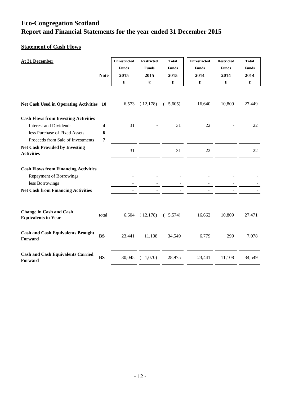### **Statement of Cash Flows**

| At 31 December                                               | <b>Note</b> | <b>Unrestricted</b><br><b>Funds</b><br>2015<br>$\pmb{\mathfrak{L}}$ | <b>Restricted</b><br><b>Funds</b><br>2015 | <b>Total</b><br><b>Funds</b><br>2015<br>$\pmb{\mathfrak{L}}$ | Unrestricted<br><b>Funds</b><br>2014<br>$\pmb{\mathfrak{L}}$ | <b>Restricted</b><br><b>Funds</b><br>2014<br>£ | <b>Total</b><br><b>Funds</b><br>2014<br>£ |
|--------------------------------------------------------------|-------------|---------------------------------------------------------------------|-------------------------------------------|--------------------------------------------------------------|--------------------------------------------------------------|------------------------------------------------|-------------------------------------------|
| <b>Net Cash Used in Operating Activities 10</b>              |             | 6,573                                                               | (12,178)                                  | (5,605)                                                      | 16,640                                                       | 10,809                                         | 27,449                                    |
| <b>Cash Flows from Investing Activities</b>                  |             |                                                                     |                                           |                                                              |                                                              |                                                |                                           |
| <b>Interest and Dividends</b>                                | 4           | 31                                                                  |                                           | 31                                                           | 22                                                           |                                                | 22                                        |
| less Purchase of Fixed Assets                                | 6           |                                                                     |                                           |                                                              |                                                              |                                                |                                           |
| Proceeds from Sale of Investments                            | 7           |                                                                     |                                           |                                                              |                                                              |                                                |                                           |
| <b>Net Cash Provided by Investing</b><br><b>Activities</b>   |             | 31                                                                  |                                           | 31                                                           | 22                                                           |                                                | 22                                        |
| <b>Cash Flows from Financing Activities</b>                  |             |                                                                     |                                           |                                                              |                                                              |                                                |                                           |
| <b>Repayment of Borrowings</b>                               |             |                                                                     |                                           |                                                              |                                                              |                                                |                                           |
| less Borrowings                                              |             |                                                                     |                                           |                                                              |                                                              |                                                |                                           |
| <b>Net Cash from Financing Activities</b>                    |             |                                                                     |                                           |                                                              |                                                              |                                                |                                           |
| <b>Change in Cash and Cash</b><br><b>Equivalents in Year</b> | total       | 6,604                                                               | (12,178)                                  | (5,574)                                                      | 16,662                                                       | 10,809                                         | 27,471                                    |
| <b>Cash and Cash Equivalents Brought</b><br>Forward          | <b>BS</b>   | 23,441                                                              | 11,108                                    | 34,549                                                       | 6,779                                                        | 299                                            | 7,078                                     |
| <b>Cash and Cash Equivalents Carried</b><br>Forward          | <b>BS</b>   | 30,045                                                              | (1,070)                                   | 28,975                                                       | 23,441                                                       | 11,108                                         | 34,549                                    |

. .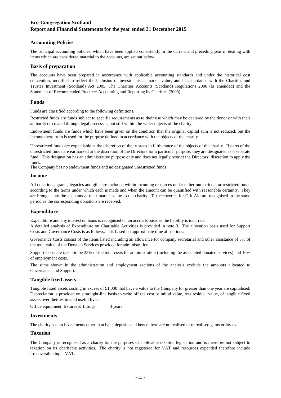#### **Accounting Policies**

The principal accounting policies, which have been applied consistently in the current and preceding year in dealing with items which are considered material to the accounts, are set out below.

#### **Basis of preparation**

The accounts have been prepared in accordance with applicable accounting standards and under the historical cost convention, modified to reflect the inclusion of investments at market value, and in accordance with the Charities and Trustee Investment (Scotland) Act 2005, The Charities Accounts (Scotland) Regulations 2006 (as amended) and the Statement of Recommended Practice: Accounting and Reporting by Charities (2005).

#### **Funds**

Funds are classified according to the following definitions.

Restricted funds are funds subject to specific requirements as to their use which may be declared by the donor or with their authority or created through legal processes, but still within the wider objects of the charity.

Endowment funds are funds which have been given on the condition that the original capital sum is not reduced, but the income there from is used for the purpose defined in accordance with the objects of the charity.

Unrestricted funds are expendable at the discretion of the trustees in furtherance of the objects of the charity. If parts of the unrestricted funds are earmarked at the discretion of the Directors for a particular purpose, they are designated as a separate fund. This designation has an administrative purpose only and does not legally restrict the Directors' discretion to apply the funds.

The Company has no endowment funds and no designated unrestricted funds.

#### **Income**

All donations, grants, legacies and gifts are included within incoming resources under either unrestricted or restricted funds according to the terms under which each is made and when the amount can be quantified with reasonable certainty. They are brought into the accounts at their market value to the charity. Tax recoveries for Gift Aid are recognised in the same period as the corresponding donations are received.

#### **Expenditure**

Expenditure and any interest on loans is recognised on an accruals basis as the liability is incurred.

A detailed analysis of Expenditure on Charitable Activities is provided in note 3. The allocation basis used for Support Costs and Governance Costs is as follows. It is based on approximate time allocations.

Governance Costs consist of the items listed including an allowance for company secretarial and other assistance of 5% of the total value of the Donated Services provided for administration.

Support Costs are taken to be 25% of the total costs for administration (including the associated donated services) and 10% of employment costs.

The sums shown in the administration and employment sections of the analysis exclude the amounts allocated to Governance and Support.

#### **Tangible fixed assets**

Tangible fixed assets costing in excess of  $£1,000$  that have a value to the Company for greater than one year are capitalised. Depreciation is provided on a straight-line basis to write off the cost or initial value, less residual value, of tangible fixed assets over their estimated useful lives:

3 years Office equipment, fixtures & fittings

#### **Investments**

The charity has no investments other than bank deposits and hence there are no realised or unrealised gains or losses.

#### **Taxation**

The Company is recognised as a charity for the purposes of applicable taxation legislation and is therefore not subject to taxation on its charitable activities. The charity is not registered for VAT and resources expended therefore include irrecoverable input VAT.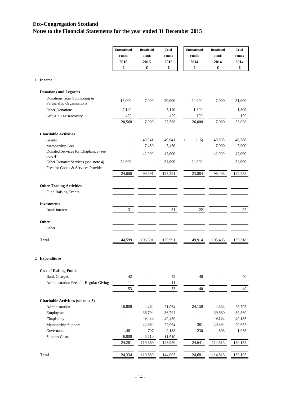|                  |                                                          | Unrestricted             | <b>Restricted</b>        | <b>Total</b>             | Unrestricted             | <b>Restricted</b>    | <b>Total</b>         |
|------------------|----------------------------------------------------------|--------------------------|--------------------------|--------------------------|--------------------------|----------------------|----------------------|
|                  |                                                          | <b>Funds</b>             | <b>Funds</b>             | Funds                    | <b>Funds</b>             | <b>Funds</b>         | <b>Funds</b>         |
|                  |                                                          | 2015                     | 2015                     | 2015                     | 2014                     | 2014                 | 2014                 |
|                  |                                                          | £                        | £                        | £                        | $\pmb{\mathfrak{L}}$     | $\pmb{\mathfrak{L}}$ | $\pmb{\mathfrak{L}}$ |
|                  | 1 Income                                                 |                          |                          |                          |                          |                      |                      |
|                  | <b>Donations and Legacies</b>                            |                          |                          |                          |                          |                      |                      |
|                  | Donations from Sponsoring &<br>Partnership Organisations | 13,000                   | 7,000                    | 20,000                   | 24,000                   | 7,000                | 31,000               |
|                  | Other Donations                                          | 7,140                    |                          | 7,140                    | 1,809                    |                      | 1,809                |
|                  | Gift Aid Tax Recovery                                    | 429                      |                          | 429                      | 199                      |                      | 199                  |
|                  |                                                          | 20,568                   | 7,000                    | 27,568                   | 26,008                   | 7,000                | 33,008               |
|                  | <b>Charitable Activities</b>                             |                          |                          |                          |                          |                      |                      |
|                  | Grants                                                   |                          | 49,941                   | 49,941                   | $\overline{(\ }$<br>116) | 48,503               | 48,388               |
|                  | Membership Fees                                          |                          | 7,450                    | 7,450                    |                          | 7,900                | 7,900                |
|                  | Donated Services for Chaplaincy (see<br>note $4)$        |                          | 42,000                   | 42,000                   | ÷,                       | 42,000               | 42,000               |
|                  | Other Donated Services (see note 4)                      | 24,000                   |                          | 24,000                   | 24,000                   |                      | 24,000               |
|                  | Fees for Goods & Services Provided                       |                          |                          |                          |                          |                      |                      |
|                  |                                                          | 24,000                   | 99,391                   | 123,391                  | 23,884                   | 98,403               | 122,288              |
|                  | <b>Other Trading Activities</b>                          |                          |                          |                          |                          |                      |                      |
|                  | <b>Fund Raising Events</b>                               | ÷                        |                          | $\overline{\phantom{a}}$ |                          |                      |                      |
|                  | <b>Investments</b>                                       |                          |                          |                          |                          |                      |                      |
|                  | <b>Bank Interest</b>                                     | 31                       | ÷,                       | 31                       | 22                       |                      | 22                   |
|                  | Other                                                    |                          |                          |                          |                          |                      |                      |
|                  | Other                                                    |                          |                          |                          |                          |                      |                      |
|                  | <b>Total</b>                                             | 44,599                   | 106,391                  | 150,991                  | 49,914                   | 105,403              | 155,318              |
| $\boldsymbol{2}$ | Expenditure                                              |                          |                          |                          |                          |                      |                      |
|                  | <b>Cost of Raising Funds</b>                             |                          |                          |                          |                          |                      |                      |
|                  | <b>Bank Charges</b>                                      | 42                       |                          | 42                       | 40                       |                      | 40                   |
|                  | Administration Fees for Regular Giving                   | 11                       |                          | 11                       | ÷                        |                      |                      |
|                  |                                                          | 53                       | $\overline{\phantom{a}}$ | 53                       | 40                       | $\sim$               | 40                   |
|                  | <b>Charitable Activities (see note 3)</b>                |                          |                          |                          |                          |                      |                      |
|                  | Administration                                           | 16,800                   | 4,264                    | 21,064                   | 24,150                   | 4,553                | 28,703               |
|                  | Employment                                               | ä,                       | 36,794                   | 36,794                   | ÷,                       | 39,580               | 39,580               |
|                  | Chaplaincy                                               | ÷                        | 49,430                   | 49,430                   | ÷,                       | 49,183               | 49,183               |
|                  | Membership Support                                       | $\overline{\phantom{a}}$ | 22,964                   | 22,964                   | 261                      | 20,394               | 20,655               |
|                  | Governance                                               | 1,481                    | 707                      | 2,188                    | 230                      | 803                  | 1,033                |
|                  | <b>Support Costs</b>                                     | 6,000                    | 5,510                    | 11,510                   | -                        |                      |                      |
|                  |                                                          | 24,281                   | 119,669                  | 143,950                  | 24,641                   | 114,513              | 139,155              |

**Total**

24,334 119,669 144,003 24,681 114,513 139,195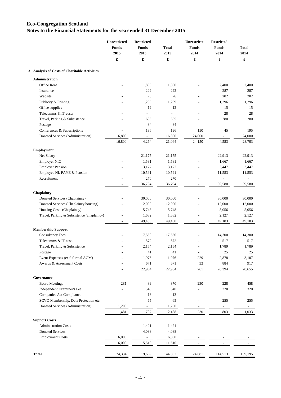|                                              | Unrestricted<br><b>Funds</b><br>2015 | <b>Restricted</b><br><b>Funds</b><br>2015 | <b>Total</b><br>2015 | Unrestricte<br><b>Funds</b><br>2014 | <b>Restricted</b><br><b>Funds</b><br>2014 | <b>Total</b><br>2014     |
|----------------------------------------------|--------------------------------------|-------------------------------------------|----------------------|-------------------------------------|-------------------------------------------|--------------------------|
|                                              | $\pmb{\mathfrak{L}}$                 | £                                         | £                    | £                                   | £                                         | $\pmb{\mathfrak{L}}$     |
| 3 Analysis of Costs of Charitable Activities |                                      |                                           |                      |                                     |                                           |                          |
| Administration                               |                                      |                                           |                      |                                     |                                           |                          |
| Office Rent                                  |                                      | 1,800                                     | 1,800                |                                     | 2,400                                     | 2,400                    |
| Insurance                                    |                                      | 222                                       | 222                  |                                     | 287                                       | 287                      |
| Website                                      |                                      | 76                                        | 76                   |                                     | 202                                       | 202                      |
| Publicity & Printing                         |                                      | 1,239                                     | 1,239                |                                     | 1,296                                     | 1,296                    |
| Office supplies                              |                                      | 12                                        | 12                   |                                     | 15                                        | 15                       |
| Telecomms & IT costs                         |                                      | $\overline{a}$                            | $\overline{a}$       |                                     | 28                                        | 28                       |
| Travel, Parking & Subsistence                |                                      | 635                                       | 635                  |                                     | 280                                       | 280                      |
| Postage                                      |                                      | 84                                        | 84                   |                                     | $\overline{a}$                            |                          |
| Conferences & Subscriptions                  |                                      | 196                                       | 196                  | 150                                 | 45                                        | 195                      |
| Donated Services (Administration)            | 16,800                               | $\overline{\phantom{a}}$                  | 16,800               | 24,000                              | $\overline{\phantom{0}}$                  | 24,000                   |
|                                              | 16,800                               | 4,264                                     | 21,064               | 24,150                              | 4,553                                     | 28,703                   |
| <b>Employment</b>                            |                                      |                                           |                      |                                     |                                           |                          |
| Net Salary                                   |                                      | 21,175                                    | 21,175               |                                     | 22,913                                    | 22,913                   |
| <b>Employer NIC</b>                          |                                      | 1,581                                     | 1,581                |                                     | 1,667                                     | 1,667                    |
| <b>Employer Pension</b>                      |                                      | 3,177                                     | 3,177                |                                     | 3,447                                     | 3,447                    |
| Employee NI, PAYE & Pension                  |                                      | 10,591                                    | 10,591               |                                     | 11,553                                    | 11,553                   |
| Recruitment                                  |                                      | 270                                       | 270                  | $\overline{a}$                      | ÷,                                        | $\overline{\phantom{a}}$ |
|                                              | $\frac{1}{2}$                        | 36,794                                    | 36,794               | $\overline{\phantom{a}}$            | 39,580                                    | 39,580                   |
| Chaplaincy                                   |                                      |                                           |                      |                                     |                                           |                          |
| Donated Services (Chaplaincy)                |                                      | 30,000                                    | 30,000               |                                     | 30,000                                    | 30,000                   |
| Donated Services (Chaplaincy housing)        |                                      | 12,000                                    | 12,000               |                                     | 12,000                                    | 12,000                   |
| Housing Costs (Chaplaincy)                   |                                      | 5,748                                     | 5,748                |                                     | 5,056                                     | 5,056                    |
| Travel, Parking & Subsistence (chaplaincy)   |                                      | 1,682                                     | 1,682                | $\overline{a}$                      | 2,127                                     | 2,127                    |
|                                              | $\frac{1}{2}$                        | 49,430                                    | 49,430               | $\overline{a}$                      | 49,183                                    | 49,183                   |
| <b>Membership Support</b>                    |                                      |                                           |                      |                                     |                                           |                          |
| <b>Consultancy Fees</b>                      |                                      | 17,550                                    | 17,550               |                                     | 14,300                                    | 14,300                   |
| Telecomms & IT costs                         |                                      | 572                                       | 572                  |                                     | 517                                       | 517                      |
| Travel, Parking & Subsistence                |                                      | 2,154                                     | 2,154                |                                     | 1,789                                     | 1,789                    |
| $\operatorname{Postage}$                     |                                      | 41                                        | 41                   |                                     | 25                                        | 25                       |
| Event Expenses (excl formal AGM)             |                                      | 1,976                                     | 1,976                | 229                                 | 2,878                                     | 3,107                    |
| Awards & Assessment Costs                    |                                      | 671                                       | 671                  | 33                                  | 884                                       | 917                      |
|                                              | $\overline{\phantom{a}}$             | 22,964                                    | 22,964               | 261                                 | 20,394                                    | 20,655                   |
| Governance                                   |                                      |                                           |                      |                                     |                                           |                          |
| <b>Board Meetings</b>                        | 281                                  | 89                                        | 370                  | 230                                 | 228                                       | 458                      |
| Independent Examiner's Fee                   |                                      | 540                                       | 540                  |                                     | 320                                       | 320                      |
| Companies Act Compliance                     |                                      | 13                                        | 13                   |                                     | ÷,                                        |                          |
| SCVO Membership, Data Protection etc         |                                      | 65                                        | 65                   |                                     | 255                                       | 255                      |
| Donated Services (Administration)            | 1,200                                | $\overline{\phantom{a}}$                  | 1,200                |                                     | $\overline{\phantom{a}}$                  |                          |
|                                              | 1,481                                | 707                                       | 2,188                | 230                                 | 803                                       | 1,033                    |
| <b>Support Costs</b>                         |                                      |                                           |                      |                                     |                                           |                          |
| <b>Administration Costs</b>                  | $\overline{a}$                       | 1,421                                     | 1,421                |                                     |                                           |                          |
| <b>Donated Services</b>                      | $\frac{1}{2}$                        | 4,088                                     | 4,088                |                                     |                                           |                          |
| <b>Employment Costs</b>                      | 6,000                                | $\blacksquare$                            | 6,000                |                                     |                                           |                          |
|                                              | 6,000                                | 5,510                                     | 11,510               | $\overline{\phantom{a}}$            | $\overline{\phantom{0}}$                  |                          |
|                                              |                                      |                                           |                      |                                     |                                           |                          |
| <b>Total</b>                                 | 24,334                               | 119,669                                   | 144,003              | 24,681                              | 114,513                                   | 139,195                  |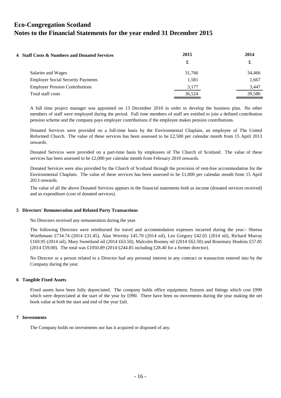| 4 Staff Costs & Numbers and Donated Services | 2015   | 2014   |  |
|----------------------------------------------|--------|--------|--|
|                                              | £      | £      |  |
| Salaries and Wages                           | 31.766 | 34,466 |  |
| <b>Employer Social Security Payments</b>     | 1,581  | 1,667  |  |
| <b>Employer Pension Contributions</b>        | 3,177  | 3,447  |  |
| Total staff costs                            | 36,524 | 39,580 |  |

A full time project manager was appointed on 13 December 2010 in order to develop the business plan. No other members of staff were employed during the period. Full time members of staff are entitled to join a defined contribution pension scheme and the company pays employer contributions if the employee makes pension contributions.

Donated Services were provided on a full-time basis by the Environmental Chaplain, an employee of The United Reformed Church. The value of these services has been assessed to be £2,500 per calendar month from 15 April 2013 onwards.

Donated Services were provided on a part-time basis by employees of The Church of Scotland. The value of these services has been assessed to be £2,000 per calendar month from February 2010 onwards.

Donated Services were also provided by the Church of Scotland through the provision of rent-free accommodation for the Environmental Chaplain. The value of these services has been assessed to be £1,000 per calendar month from 15 April 2013 onwards.

The value of all the above Donated Services appears in the financial statements both as income (donated services received) and as expenditure (cost of donated services).

#### **5 Directors' Remuneration and Related Party Transactions**

No Directors received any remuneration during the year.

The following Directors were reimbursed for travel and accommodation expenses incurred during the year:- Sheena Wurthmann £734.74 (2014 £31.45), Alan Werritty £45.70 (2014 nil), Len Gregory £42.65 (2014 nil), Richard Murray £169.95 (2014 nil), Mary Sweetland nil (2014 £63.50), Malcolm Rooney nil (2014 £62.50) and Rosemary Hoskins £57.85 (2014 £59.00). The total was £1050.89 (2014 £244.85 including £28.40 for a former director).

No Director or a person related to a Director had any personal interest in any contract or transaction entered into by the Company during the year.

#### **6 Tangible Fixed Assets**

Fixed assets have been fully depreciated. The company holds office equipment, fixtures and fittings which cost £990 which were depreciated at the start of the year by £990. There have been no movements during the year making the net book value at both the start and end of the year £nil.

#### **7 Investments**

The Company holds no investments nor has it acquired or disposed of any.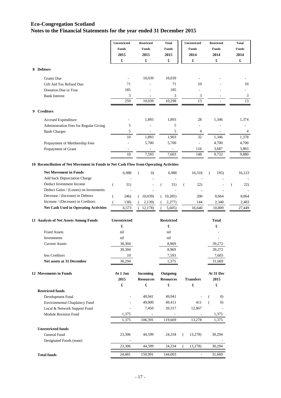|                                                                                       | Unrestricted        | <b>Restricted</b>      | <b>Total</b>         | Unrestricted             | <b>Restricted</b>                     | <b>Total</b>   |
|---------------------------------------------------------------------------------------|---------------------|------------------------|----------------------|--------------------------|---------------------------------------|----------------|
|                                                                                       | <b>Funds</b>        | Funds                  | <b>Funds</b>         | Funds                    | Funds                                 | Funds          |
|                                                                                       | 2015                | 2015                   | 2015                 | 2014                     | 2014                                  | 2014           |
|                                                                                       | £                   | £                      | £                    | £                        | £                                     | £              |
|                                                                                       |                     |                        |                      |                          |                                       |                |
| 8 Debtors                                                                             |                     |                        |                      |                          |                                       |                |
| <b>Grants</b> Due                                                                     |                     | 10,039                 | 10,039               |                          |                                       |                |
| Gift Aid Tax Refund Due                                                               | 71                  |                        | 71                   | 10                       |                                       | 10             |
| Donation Due in Year                                                                  | 185                 |                        | 185                  |                          |                                       |                |
| <b>Bank Interest</b>                                                                  | 3                   |                        | 3                    | 3                        |                                       | $\mathfrak{Z}$ |
|                                                                                       | 259                 | 10,039                 | 10,298               | 13                       |                                       | 13             |
| <b>Creditors</b><br>9.                                                                |                     |                        |                      |                          |                                       |                |
| Accrued Expenditure                                                                   |                     | 1,893                  | 1,893                | 28                       | 1,346                                 | 1,374          |
| Administration Fees for Regular Giving                                                | 5                   |                        | 5                    |                          |                                       |                |
| <b>Bank Charges</b>                                                                   | 5                   | $\overline{a}$         | 5                    | 4                        | $\qquad \qquad \blacksquare$          | 4              |
|                                                                                       | $10\,$              | 1,893                  | 1,903                | 32                       | 1,346                                 | 1,378          |
| Prepayment of Membership Fees                                                         |                     | 5,700                  | 5,700                | $\overline{\phantom{a}}$ | 4,700                                 | 4,700          |
| Prepayment of Grant                                                                   |                     |                        |                      | 116                      | 3,687                                 | 3,803          |
|                                                                                       | 10                  | 7,593                  | 7,603                | 148                      | 9,732                                 | 9,880          |
| 10 Reconciliation of Net Movement in Funds to Net Cash Flow from Operating Activities |                     |                        |                      |                          |                                       |                |
| <b>Net Movement in Funds</b>                                                          | 6,988               |                        |                      | 16,318                   |                                       |                |
| Add back Depreciation Charge                                                          |                     | $\left( 0\right)$<br>( | 6,988                |                          | 195)<br>(                             | 16,123         |
| Deduct Investment Income                                                              |                     |                        |                      |                          |                                       |                |
|                                                                                       | 31)<br>€            |                        | 31)<br>€             | 22)<br>$\left($          |                                       | 22)<br>€       |
| Deduct Gains / (Losses) on Investments                                                |                     |                        |                      |                          |                                       |                |
| Decrease / (Increase) in Debtors                                                      | 246)<br>(           | 10,039<br>€            | (10,285)             | 200                      | 8,664                                 | 8,864          |
| Increase / (Decrease) in Creditors                                                    | 138)                | 2,139)                 | 2,277)               | 144                      | 2,340                                 | 2,483          |
| <b>Net Cash Used in Operating Activities</b>                                          | 6,573               | 12,178)                | 5,605)               | 16,640                   | 10,809                                | 27,449         |
| 11 Analysis of Net Assets Among Funds                                                 | <b>Unrestricted</b> |                        | <b>Restricted</b>    |                          | Total                                 |                |
|                                                                                       | £                   |                        | $\pmb{\mathfrak{L}}$ |                          | £                                     |                |
| <b>Fixed Assets</b>                                                                   | nil                 |                        | nil                  |                          |                                       |                |
| Investments                                                                           | nil                 |                        | nil                  |                          | ÷                                     |                |
| <b>Current Assets</b>                                                                 | 30,304              |                        | 8,969                |                          | 39,272                                |                |
|                                                                                       | 30,304              |                        | 8,969                |                          | 39,272                                |                |
| less Creditors                                                                        | $10\,$              |                        | 7,593                |                          | 7,603                                 |                |
| Net assets at 31 December                                                             | 30,294              |                        | 1,375                |                          | 31,669                                |                |
| 12 Movements in Funds                                                                 | At 1 Jan            | <b>Incoming</b>        | Outgoing             |                          | At 31 Dec                             |                |
|                                                                                       | 2015                | <b>Resources</b>       | <b>Resources</b>     | <b>Transfers</b>         | 2015                                  |                |
|                                                                                       | £                   | £                      | $\pmb{\mathfrak{L}}$ | £                        | £                                     |                |
| <b>Restricted funds</b>                                                               |                     |                        |                      |                          |                                       |                |
| Development Fund                                                                      | ÷,                  | 49,941                 | 49,941               |                          | (0)<br>€                              |                |
| <b>Environmental Chaplaincy Fund</b>                                                  | L,                  | 49,000                 | 49,411               | 411                      | $\overline{(\ }$<br>$\left( 0\right)$ |                |
| Local & Network Support Fund                                                          | ÷,                  | 7,450                  | 20,317               | 12,867                   |                                       |                |
| <b>Module Revision Fund</b>                                                           | 1,375               |                        |                      |                          | 1,375                                 |                |
|                                                                                       | 1,375               | 106,391                | 119,669              | 13,278                   | 1,375                                 |                |
| <b>Unrestricted funds</b>                                                             |                     |                        |                      |                          |                                       |                |
| General Fund                                                                          | 23,306              | 44,599                 | 24,334               | 13,278)<br>(             | 30,294                                |                |
| Designated Funds (none)                                                               |                     |                        |                      |                          |                                       |                |
|                                                                                       | 23,306              | 44,599                 | 24,334               | 13,278)                  | 30,294                                |                |
| <b>Total funds</b>                                                                    | 24,681              | 150,991                | 144,003              | ÷,                       | 31,669                                |                |
|                                                                                       |                     |                        |                      |                          |                                       |                |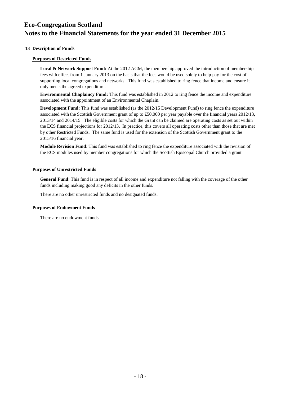#### **13 Description of Funds**

#### **Purposes of Restricted Funds**

**Local & Network Support Fund:** At the 2012 AGM, the membership approved the introduction of membership fees with effect from 1 January 2013 on the basis that the fees would be used solely to help pay for the cost of supporting local congregations and networks. This fund was established to ring fence that income and ensure it only meets the agreed expenditure.

**Environmental Chaplaincy Fund:** This fund was established in 2012 to ring fence the income and expenditure associated with the appointment of an Environmental Chaplain.

**Development Fund:** This fund was established (as the 2012/15 Development Fund) to ring fence the expenditure associated with the Scottish Government grant of up to £50,000 per year payable over the financial years 2012/13, 2013/14 and 2014/15. The eligible costs for which the Grant can be claimed are operating costs as set out within the ECS financial projections for 2012/13. In practice, this covers all operating costs other than those that are met by other Restricted Funds. The same fund is used for the extension of the Scottish Government grant to the 2015/16 financial year.

**Module Revision Fund**: This fund was established to ring fence the expenditure associated with the revision of the ECS modules used by member congregations for which the Scottish Episcopal Church provided a grant.

#### **Purposes of Unrestricted Funds**

**General Fund**: This fund is in respect of all income and expenditure not falling with the coverage of the other funds including making good any deficits in the other funds.

There are no other unrestricted funds and no designated funds.

#### **Purposes of Endowment Funds**

There are no endowment funds.